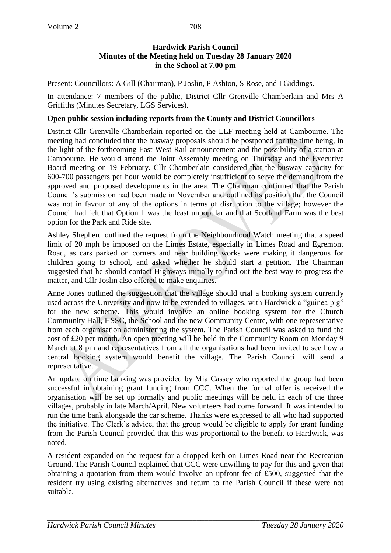#### **Hardwick Parish Council Minutes of the Meeting held on Tuesday 28 January 2020 in the School at 7.00 pm**

Present: Councillors: A Gill (Chairman), P Joslin, P Ashton, S Rose, and I Giddings.

In attendance: 7 members of the public, District Cllr Grenville Chamberlain and Mrs A Griffiths (Minutes Secretary, LGS Services).

### **Open public session including reports from the County and District Councillors**

District Cllr Grenville Chamberlain reported on the LLF meeting held at Cambourne. The meeting had concluded that the busway proposals should be postponed for the time being, in the light of the forthcoming East-West Rail announcement and the possibility of a station at Cambourne. He would attend the Joint Assembly meeting on Thursday and the Executive Board meeting on 19 February. Cllr Chamberlain considered that the busway capacity for 600-700 passengers per hour would be completely insufficient to serve the demand from the approved and proposed developments in the area. The Chairman confirmed that the Parish Council's submission had been made in November and outlined its position that the Council was not in favour of any of the options in terms of disruption to the village; however the Council had felt that Option 1 was the least unpopular and that Scotland Farm was the best option for the Park and Ride site.

Ashley Shepherd outlined the request from the Neighbourhood Watch meeting that a speed limit of 20 mph be imposed on the Limes Estate, especially in Limes Road and Egremont Road, as cars parked on corners and near building works were making it dangerous for children going to school, and asked whether he should start a petition. The Chairman suggested that he should contact Highways initially to find out the best way to progress the matter, and Cllr Joslin also offered to make enquiries.

Anne Jones outlined the suggestion that the village should trial a booking system currently used across the University and now to be extended to villages, with Hardwick a "guinea pig" for the new scheme. This would involve an online booking system for the Church Community Hall, HSSC, the School and the new Community Centre, with one representative from each organisation administering the system. The Parish Council was asked to fund the cost of £20 per month. An open meeting will be held in the Community Room on Monday 9 March at 8 pm and representatives from all the organisations had been invited to see how a central booking system would benefit the village. The Parish Council will send a representative.

An update on time banking was provided by Mia Cassey who reported the group had been successful in obtaining grant funding from CCC. When the formal offer is received the organisation will be set up formally and public meetings will be held in each of the three villages, probably in late March/April. New volunteers had come forward. It was intended to run the time bank alongside the car scheme. Thanks were expressed to all who had supported the initiative. The Clerk's advice, that the group would be eligible to apply for grant funding from the Parish Council provided that this was proportional to the benefit to Hardwick, was noted.

A resident expanded on the request for a dropped kerb on Limes Road near the Recreation Ground. The Parish Council explained that CCC were unwilling to pay for this and given that obtaining a quotation from them would involve an upfront fee of £500, suggested that the resident try using existing alternatives and return to the Parish Council if these were not suitable.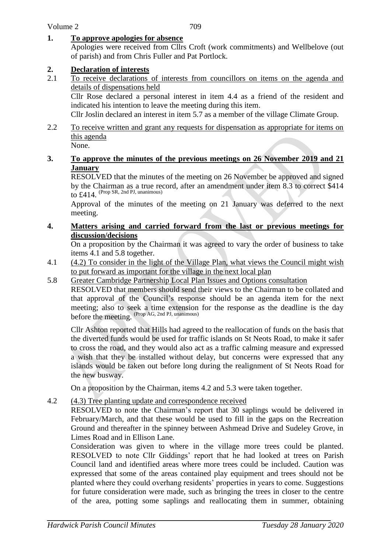### **1. To approve apologies for absence**

Apologies were received from Cllrs Croft (work commitments) and Wellbelove (out of parish) and from Chris Fuller and Pat Portlock.

### **2. Declaration of interests**

2.1 To receive declarations of interests from councillors on items on the agenda and details of dispensations held

Cllr Rose declared a personal interest in item 4.4 as a friend of the resident and indicated his intention to leave the meeting during this item.

Cllr Joslin declared an interest in item 5.7 as a member of the village Climate Group.

- 2.2 To receive written and grant any requests for dispensation as appropriate for items on this agenda
	- None.

### **3. To approve the minutes of the previous meetings on 26 November 2019 and 21 January**

RESOLVED that the minutes of the meeting on 26 November be approved and signed by the Chairman as a true record, after an amendment under item 8.3 to correct \$414 to  $\pm$ 414. (Prop SR, 2nd PJ, unanimous)

Approval of the minutes of the meeting on 21 January was deferred to the next meeting.

#### **4. Matters arising and carried forward from the last or previous meetings for discussion/decisions**

On a proposition by the Chairman it was agreed to vary the order of business to take items 4.1 and 5.8 together.

- 4.1 (4.2) To consider in the light of the Village Plan, what views the Council might wish to put forward as important for the village in the next local plan
- 5.8 Greater Cambridge Partnership Local Plan Issues and Options consultation

RESOLVED that members should send their views to the Chairman to be collated and that approval of the Council's response should be an agenda item for the next meeting; also to seek a time extension for the response as the deadline is the day before the meeting. (Prop AG, 2nd PJ, unanimous)

Cllr Ashton reported that Hills had agreed to the reallocation of funds on the basis that the diverted funds would be used for traffic islands on St Neots Road, to make it safer to cross the road, and they would also act as a traffic calming measure and expressed a wish that they be installed without delay, but concerns were expressed that any islands would be taken out before long during the realignment of St Neots Road for the new busway.

On a proposition by the Chairman, items 4.2 and 5.3 were taken together.

4.2 (4.3) Tree planting update and correspondence received

RESOLVED to note the Chairman's report that 30 saplings would be delivered in February/March, and that these would be used to fill in the gaps on the Recreation Ground and thereafter in the spinney between Ashmead Drive and Sudeley Grove, in Limes Road and in Ellison Lane.

Consideration was given to where in the village more trees could be planted. RESOLVED to note Cllr Giddings' report that he had looked at trees on Parish Council land and identified areas where more trees could be included. Caution was expressed that some of the areas contained play equipment and trees should not be planted where they could overhang residents' properties in years to come. Suggestions for future consideration were made, such as bringing the trees in closer to the centre of the area, potting some saplings and reallocating them in summer, obtaining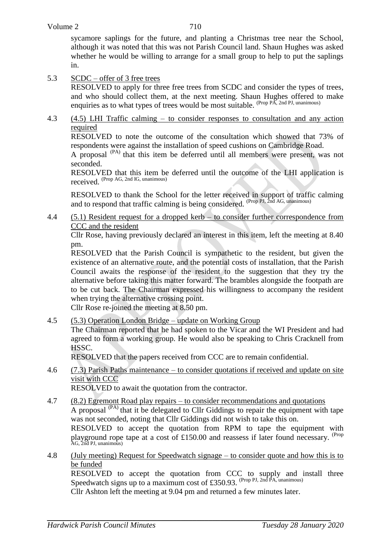sycamore saplings for the future, and planting a Christmas tree near the School, although it was noted that this was not Parish Council land. Shaun Hughes was asked whether he would be willing to arrange for a small group to help to put the saplings in.

## 5.3 SCDC – offer of 3 free trees

RESOLVED to apply for three free trees from SCDC and consider the types of trees, and who should collect them, at the next meeting. Shaun Hughes offered to make enquiries as to what types of trees would be most suitable. (Prop PA, 2nd PJ, unanimous)

4.3 (4.5) LHI Traffic calming – to consider responses to consultation and any action required

RESOLVED to note the outcome of the consultation which showed that 73% of respondents were against the installation of speed cushions on Cambridge Road.

A proposal (PA) that this item be deferred until all members were present, was not seconded.

RESOLVED that this item be deferred until the outcome of the LHI application is received. (Prop AG, 2nd IG, unanimous)

RESOLVED to thank the School for the letter received in support of traffic calming and to respond that traffic calming is being considered. (Prop PJ, 2nd AG, unanimous)

4.4 (5.1) Resident request for a dropped kerb – to consider further correspondence from CCC and the resident

Cllr Rose, having previously declared an interest in this item, left the meeting at 8.40 pm.

RESOLVED that the Parish Council is sympathetic to the resident, but given the existence of an alternative route, and the potential costs of installation, that the Parish Council awaits the response of the resident to the suggestion that they try the alternative before taking this matter forward. The brambles alongside the footpath are to be cut back. The Chairman expressed his willingness to accompany the resident when trying the alternative crossing point.

Cllr Rose re-joined the meeting at 8.50 pm.

4.5 (5.3) Operation London Bridge – update on Working Group

The Chairman reported that he had spoken to the Vicar and the WI President and had agreed to form a working group. He would also be speaking to Chris Cracknell from HSSC.

RESOLVED that the papers received from CCC are to remain confidential.

4.6 (7.3) Parish Paths maintenance – to consider quotations if received and update on site visit with CCC

RESOLVED to await the quotation from the contractor.

- 4.7 (8.2) Egremont Road play repairs to consider recommendations and quotations A proposal  $(P<sup>(PA)</sup>)$  that it be delegated to Cllr Giddings to repair the equipment with tape was not seconded, noting that Cllr Giddings did not wish to take this on. RESOLVED to accept the quotation from RPM to tape the equipment with playground rope tape at a cost of £150.00 and reassess if later found necessary. <sup>(Prop</sup> AG, 2nd PJ, unanimous)
- 4.8 (July meeting) Request for Speedwatch signage to consider quote and how this is to be funded

RESOLVED to accept the quotation from CCC to supply and install three Speedwatch signs up to a maximum cost of £350.93. (Prop PJ, 2nd PA, unanimous)

Cllr Ashton left the meeting at 9.04 pm and returned a few minutes later.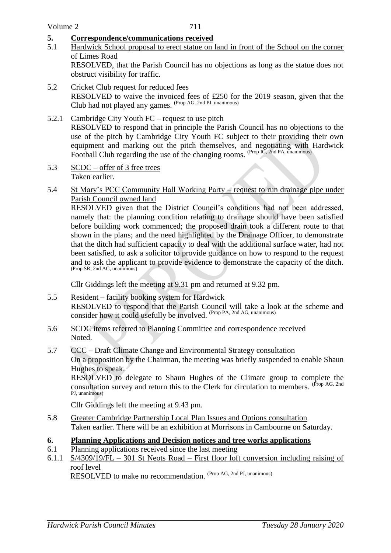### **5. Correspondence/communications received**

5.1 Hardwick School proposal to erect statue on land in front of the School on the corner of Limes Road

RESOLVED, that the Parish Council has no objections as long as the statue does not obstruct visibility for traffic.

- 5.2 Cricket Club request for reduced fees RESOLVED to waive the invoiced fees of £250 for the 2019 season, given that the Club had not played any games. (Prop AG, 2nd PJ, unanimous)
- 5.2.1 Cambridge City Youth FC request to use pitch RESOLVED to respond that in principle the Parish Council has no objections to the use of the pitch by Cambridge City Youth FC subject to their providing their own equipment and marking out the pitch themselves, and negotiating with Hardwick Football Club regarding the use of the changing rooms. (Prop IG, 2nd PA, unanimous)
- 5.3 SCDC offer of 3 free trees Taken earlier.
- 5.4 St Mary's PCC Community Hall Working Party request to run drainage pipe under Parish Council owned land

RESOLVED given that the District Council's conditions had not been addressed, namely that: the planning condition relating to drainage should have been satisfied before building work commenced; the proposed drain took a different route to that shown in the plans; and the need highlighted by the Drainage Officer, to demonstrate that the ditch had sufficient capacity to deal with the additional surface water, had not been satisfied, to ask a solicitor to provide guidance on how to respond to the request and to ask the applicant to provide evidence to demonstrate the capacity of the ditch. (Prop SR, 2nd AG, unanimous)

Cllr Giddings left the meeting at 9.31 pm and returned at 9.32 pm.

- 5.5 Resident facility booking system for Hardwick RESOLVED to respond that the Parish Council will take a look at the scheme and consider how it could usefully be involved. (Prop PA, 2nd AG, unanimous)
- 5.6 SCDC items referred to Planning Committee and correspondence received Noted.
- 5.7 CCC Draft Climate Change and Environmental Strategy consultation

On a proposition by the Chairman, the meeting was briefly suspended to enable Shaun Hughes to speak.

RESOLVED to delegate to Shaun Hughes of the Climate group to complete the consultation survey and return this to the Clerk for circulation to members. <sup>(Prop AG, 2nd</sup> PJ, unanimous)

Cllr Giddings left the meeting at 9.43 pm.

5.8 Greater Cambridge Partnership Local Plan Issues and Options consultation Taken earlier. There will be an exhibition at Morrisons in Cambourne on Saturday.

### **6. Planning Applications and Decision notices and tree works applications**

- 6.1 Planning applications received since the last meeting
- 6.1.1 S/4309/19/FL 301 St Neots Road First floor loft conversion including raising of roof level

RESOLVED to make no recommendation. <sup>(Prop AG, 2nd PJ, unanimous)</sup>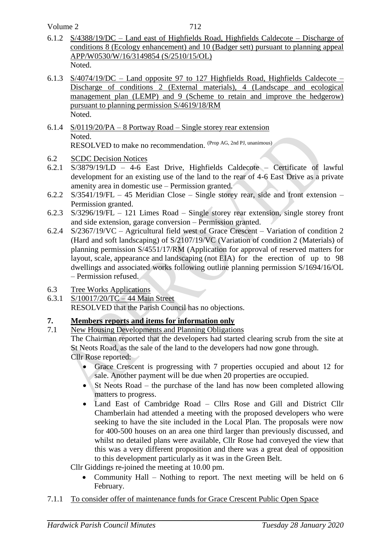Volume 2

- 6.1.2 S/4388/19/DC Land east of Highfields Road, Highfields Caldecote Discharge of conditions 8 (Ecology enhancement) and 10 (Badger sett) pursuant to planning appeal APP/W0530/W/16/3149854 (S/2510/15/OL) Noted.
- 6.1.3 S/4074/19/DC Land opposite 97 to 127 Highfields Road, Highfields Caldecote Discharge of conditions 2 (External materials), 4 (Landscape and ecological management plan (LEMP) and 9 (Scheme to retain and improve the hedgerow) pursuant to planning permission S/4619/18/RM Noted.
- 6.1.4 S/0119/20/PA 8 Portway Road Single storey rear extension Noted. RESOLVED to make no recommendation. (Prop AG, 2nd PJ, unanimous)
- 6.2 SCDC Decision Notices
- 6.2.1 S/3879/19/LD 4-6 East Drive, Highfields Caldecote Certificate of lawful development for an existing use of the land to the rear of 4-6 East Drive as a private amenity area in domestic use – Permission granted.
- 6.2.2 S/3541/19/FL 45 Meridian Close Single storey rear, side and front extension Permission granted.
- 6.2.3 S/3296/19/FL 121 Limes Road Single storey rear extension, single storey front and side extension, garage conversion – Permission granted.
- 6.2.4 S/2367/19/VC Agricultural field west of Grace Crescent Variation of condition 2 (Hard and soft landscaping) of S/2107/19/VC (Variation of condition 2 (Materials) of planning permission S/4551/17/RM (Application for approval of reserved matters for layout, scale, appearance and landscaping (not EIA) for the erection of up to 98 dwellings and associated works following outline planning permission S/1694/16/OL – Permission refused.
- 6.3 Tree Works Applications
- 6.3.1 S/10017/20/TC 44 Main Street

RESOLVED that the Parish Council has no objections.

# **7. Members reports and items for information only**

7.1 New Housing Developments and Planning Obligations

The Chairman reported that the developers had started clearing scrub from the site at St Neots Road, as the sale of the land to the developers had now gone through. Cllr Rose reported:

- Grace Crescent is progressing with 7 properties occupied and about 12 for sale. Another payment will be due when 20 properties are occupied.
- St Neots Road the purchase of the land has now been completed allowing matters to progress.
- Land East of Cambridge Road Cllrs Rose and Gill and District Cllr Chamberlain had attended a meeting with the proposed developers who were seeking to have the site included in the Local Plan. The proposals were now for 400-500 houses on an area one third larger than previously discussed, and whilst no detailed plans were available, Cllr Rose had conveyed the view that this was a very different proposition and there was a great deal of opposition to this development particularly as it was in the Green Belt.

Cllr Giddings re-joined the meeting at 10.00 pm.

- Community Hall Nothing to report. The next meeting will be held on 6 February.
- 7.1.1 To consider offer of maintenance funds for Grace Crescent Public Open Space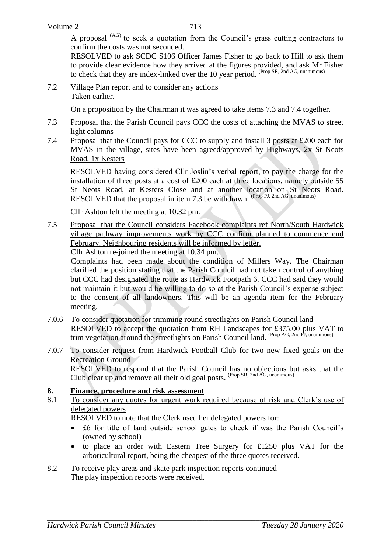A proposal <sup>(AG)</sup> to seek a quotation from the Council's grass cutting contractors to confirm the costs was not seconded.

RESOLVED to ask SCDC S106 Officer James Fisher to go back to Hill to ask them to provide clear evidence how they arrived at the figures provided, and ask Mr Fisher to check that they are index-linked over the 10 year period. (Prop SR, 2nd AG, unanimous)

7.2 Village Plan report and to consider any actions Taken earlier.

On a proposition by the Chairman it was agreed to take items 7.3 and 7.4 together.

- 7.3 Proposal that the Parish Council pays CCC the costs of attaching the MVAS to street light columns
- 7.4 Proposal that the Council pays for CCC to supply and install 3 posts at £200 each for MVAS in the village, sites have been agreed/approved by Highways, 2x St Neots Road, 1x Kesters

RESOLVED having considered Cllr Joslin's verbal report, to pay the charge for the installation of three posts at a cost of £200 each at three locations, namely outside 55 St Neots Road, at Kesters Close and at another location on St Neots Road. RESOLVED that the proposal in item 7.3 be withdrawn. (Prop PJ, 2nd AG, unanimous)

Cllr Ashton left the meeting at 10.32 pm.

7.5 Proposal that the Council considers Facebook complaints ref North/South Hardwick village pathway improvements work by CCC confirm planned to commence end February. Neighbouring residents will be informed by letter.

Cllr Ashton re-joined the meeting at 10.34 pm.

Complaints had been made about the condition of Millers Way. The Chairman clarified the position stating that the Parish Council had not taken control of anything but CCC had designated the route as Hardwick Footpath 6. CCC had said they would not maintain it but would be willing to do so at the Parish Council's expense subject to the consent of all landowners. This will be an agenda item for the February meeting.

- 7.0.6 To consider quotation for trimming round streetlights on Parish Council land RESOLVED to accept the quotation from RH Landscapes for £375.00 plus VAT to trim vegetation around the streetlights on Parish Council land. (Prop AG, 2nd PJ, unanimous)
- 7.0.7 To consider request from Hardwick Football Club for two new fixed goals on the Recreation Ground RESOLVED to respond that the Parish Council has no objections but asks that the Club clear up and remove all their old goal posts. (Prop SR, 2nd AG, unanimous)

### **8. Finance, procedure and risk assessment**

8.1 To consider any quotes for urgent work required because of risk and Clerk's use of delegated powers

RESOLVED to note that the Clerk used her delegated powers for:

- £6 for title of land outside school gates to check if was the Parish Council's (owned by school)
- to place an order with Eastern Tree Surgery for £1250 plus VAT for the arboricultural report, being the cheapest of the three quotes received.
- 8.2 To receive play areas and skate park inspection reports continued The play inspection reports were received.